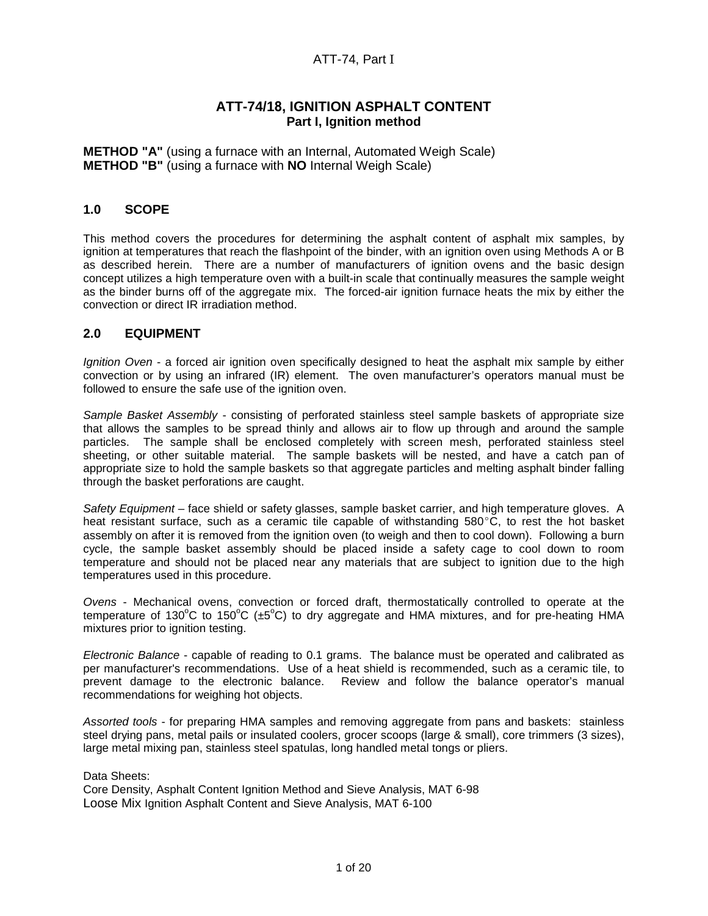# ATT-74, Part I

# **ATT-74/18, IGNITION ASPHALT CONTENT Part I, Ignition method**

**METHOD "A"** (using a furnace with an Internal, Automated Weigh Scale) **METHOD "B"** (using a furnace with **NO** Internal Weigh Scale)

# **1.0 SCOPE**

This method covers the procedures for determining the asphalt content of asphalt mix samples, by ignition at temperatures that reach the flashpoint of the binder, with an ignition oven using Methods A or B as described herein. There are a number of manufacturers of ignition ovens and the basic design concept utilizes a high temperature oven with a built-in scale that continually measures the sample weight as the binder burns off of the aggregate mix. The forced-air ignition furnace heats the mix by either the convection or direct IR irradiation method.

# **2.0 EQUIPMENT**

Ignition Oven - a forced air ignition oven specifically designed to heat the asphalt mix sample by either convection or by using an infrared (IR) element. The oven manufacturer's operators manual must be followed to ensure the safe use of the ignition oven.

Sample Basket Assembly - consisting of perforated stainless steel sample baskets of appropriate size that allows the samples to be spread thinly and allows air to flow up through and around the sample particles. The sample shall be enclosed completely with screen mesh, perforated stainless steel sheeting, or other suitable material. The sample baskets will be nested, and have a catch pan of appropriate size to hold the sample baskets so that aggregate particles and melting asphalt binder falling through the basket perforations are caught.

Safety Equipment - face shield or safety glasses, sample basket carrier, and high temperature gloves. A heat resistant surface, such as a ceramic tile capable of withstanding  $580^{\circ}$ C, to rest the hot basket assembly on after it is removed from the ignition oven (to weigh and then to cool down). Following a burn cycle, the sample basket assembly should be placed inside a safety cage to cool down to room temperature and should not be placed near any materials that are subject to ignition due to the high temperatures used in this procedure.

Ovens - Mechanical ovens, convection or forced draft, thermostatically controlled to operate at the temperature of 130°C to 150°C ( $\pm$ 5°C) to dry aggregate and HMA mixtures, and for pre-heating HMA mixtures prior to ignition testing.

Electronic Balance - capable of reading to 0.1 grams. The balance must be operated and calibrated as per manufacturer's recommendations. Use of a heat shield is recommended, such as a ceramic tile, to prevent damage to the electronic balance. Review and follow the balance operator's manual recommendations for weighing hot objects.

Assorted tools - for preparing HMA samples and removing aggregate from pans and baskets: stainless steel drying pans, metal pails or insulated coolers, grocer scoops (large & small), core trimmers (3 sizes), large metal mixing pan, stainless steel spatulas, long handled metal tongs or pliers.

Data Sheets:

Core Density, Asphalt Content Ignition Method and Sieve Analysis, MAT 6-98 Loose Mix Ignition Asphalt Content and Sieve Analysis, MAT 6-100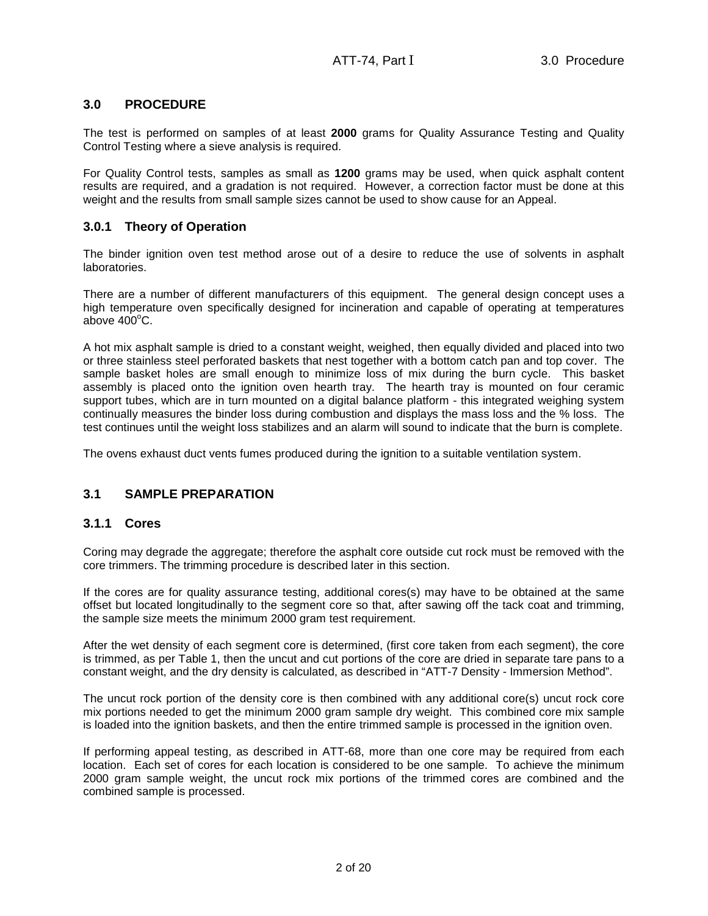# **3.0 PROCEDURE**

The test is performed on samples of at least **2000** grams for Quality Assurance Testing and Quality Control Testing where a sieve analysis is required.

For Quality Control tests, samples as small as **1200** grams may be used, when quick asphalt content results are required, and a gradation is not required. However, a correction factor must be done at this weight and the results from small sample sizes cannot be used to show cause for an Appeal.

# **3.0.1 Theory of Operation**

The binder ignition oven test method arose out of a desire to reduce the use of solvents in asphalt laboratories.

There are a number of different manufacturers of this equipment. The general design concept uses a high temperature oven specifically designed for incineration and capable of operating at temperatures above  $400^{\circ}$ C.

A hot mix asphalt sample is dried to a constant weight, weighed, then equally divided and placed into two or three stainless steel perforated baskets that nest together with a bottom catch pan and top cover. The sample basket holes are small enough to minimize loss of mix during the burn cycle. This basket assembly is placed onto the ignition oven hearth tray. The hearth tray is mounted on four ceramic support tubes, which are in turn mounted on a digital balance platform - this integrated weighing system continually measures the binder loss during combustion and displays the mass loss and the % loss. The test continues until the weight loss stabilizes and an alarm will sound to indicate that the burn is complete.

The ovens exhaust duct vents fumes produced during the ignition to a suitable ventilation system.

## **3.1 SAMPLE PREPARATION**

# **3.1.1 Cores**

Coring may degrade the aggregate; therefore the asphalt core outside cut rock must be removed with the core trimmers. The trimming procedure is described later in this section.

If the cores are for quality assurance testing, additional cores(s) may have to be obtained at the same offset but located longitudinally to the segment core so that, after sawing off the tack coat and trimming, the sample size meets the minimum 2000 gram test requirement.

After the wet density of each segment core is determined, (first core taken from each segment), the core is trimmed, as per Table 1, then the uncut and cut portions of the core are dried in separate tare pans to a constant weight, and the dry density is calculated, as described in "ATT-7 Density - Immersion Method".

The uncut rock portion of the density core is then combined with any additional core(s) uncut rock core mix portions needed to get the minimum 2000 gram sample dry weight. This combined core mix sample is loaded into the ignition baskets, and then the entire trimmed sample is processed in the ignition oven.

If performing appeal testing, as described in ATT-68, more than one core may be required from each location. Each set of cores for each location is considered to be one sample. To achieve the minimum 2000 gram sample weight, the uncut rock mix portions of the trimmed cores are combined and the combined sample is processed.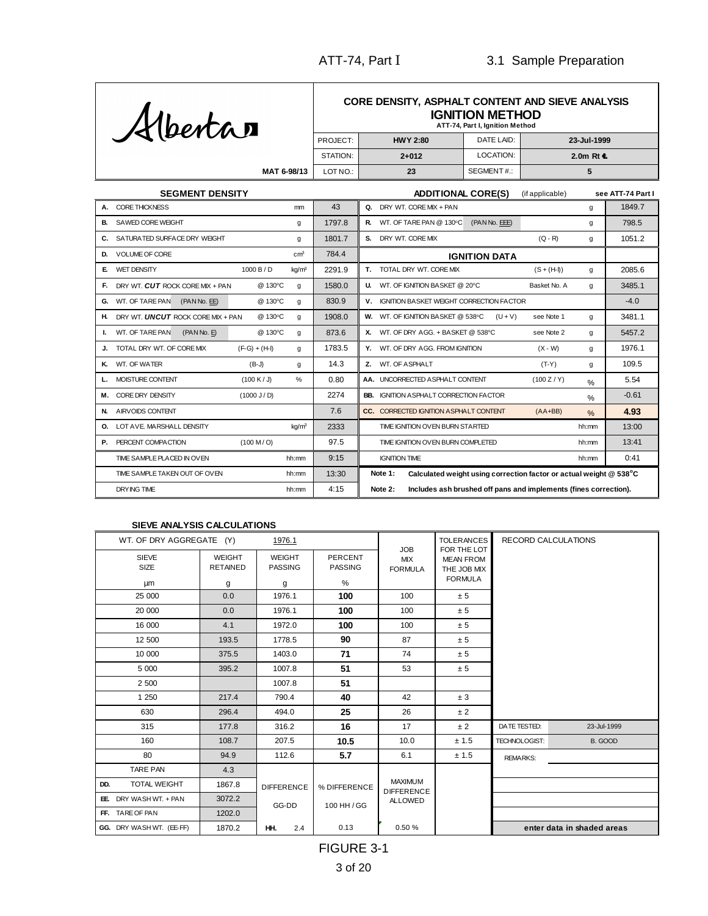

#### **ATT-74, Part I, Ignition Method CORE DENSITY, ASPHALT CONTENT AND SIEVE ANALYSIS IGNITION METHOD**

|             | PROJECT: | <b>HWY 2:80</b> | DATE LAID: | 23-Jul-1999           |  |  |  |
|-------------|----------|-----------------|------------|-----------------------|--|--|--|
|             | STATION: | $2 + 012$       | LOCATION:  | 2.0 $m$ Rt $\epsilon$ |  |  |  |
| MAT 6-98/13 | LOT NO.: | 23              | SEGMENT#:  |                       |  |  |  |

| <b>SEGMENT DENSITY</b>                                  |        | <b>ADDITIONAL CORE(S)</b><br>(if applicable)                                  | see ATT-74 Part I |
|---------------------------------------------------------|--------|-------------------------------------------------------------------------------|-------------------|
| <b>CORE THICKNESS</b><br>mm                             | 43     | DRY WT. CORE MIX + PAN<br>Q.<br>g                                             | 1849.7            |
| SAWED CORE WEIGHT<br>В.<br>g                            | 1797.8 | WT. OF TARE PAN @ 130°C<br>(PAN No. EEE)<br>R.<br>g                           | 798.5             |
| SATURATED SURFACE DRY WEIGHT<br>C.<br>g                 | 1801.7 | S. DRY WT. CORE MIX<br>$(Q - R)$<br>g                                         | 1051.2            |
| cm <sup>3</sup><br>VOLUME OF CORE<br>D.                 | 784.4  | <b>IGNITION DATA</b>                                                          |                   |
| kg/m <sup>3</sup><br><b>WET DENSITY</b><br>1000B/D<br>Е | 2291.9 | TOTAL DRY WT. CORE MIX<br>Т.<br>$(S + (H \cdot))$<br>g                        | 2085.6            |
| @ 130°C<br>DRY WT. CUT ROCK CORE MIX + PAN<br>Е.<br>g   | 1580.0 | <b>U.</b> WT. OF IGNITION BASKET @ 20°C<br>Basket No. A<br>g                  | 3485.1            |
| WT. OF TARE PAN<br>@ 130°C<br>(PAN No. EE)<br>G.<br>g   | 830.9  | <b>IGNITION BASKET WEIGHT CORRECTION FACTOR</b><br>v.                         | $-4.0$            |
| @ 130°C<br>н.<br>DRY WT. UNCUT ROCK CORE MIX + PAN<br>q | 1908.0 | W. WT. OF IGNITION BASKET @ 538°C<br>$(U + V)$<br>see Note 1<br>a             | 3481.1            |
| WT. OF TARE PAN<br>@ 130°C<br>(PANNo, E)<br>q           | 873.6  | X. WT. OF DRY AGG. + BASKET @ 538°C<br>see Note 2<br>q                        | 5457.2            |
| TOTAL DRY WT. OF CORE MIX<br>$(F-G) + (H-I)$<br>g       | 1783.5 | Y. WT. OF DRY AGG. FROM IGNITION<br>$(X - W)$<br>g                            | 1976.1            |
| WT. OF WATER<br>ĸ.<br>$(B-J)$<br>g                      | 14.3   | Z. WT. OF ASPHALT<br>$(T-Y)$<br>g                                             | 109.5             |
| MOISTURE CONTENT<br>%<br>(100 K/J)                      | 0.80   | AA. UNCORRECTED A SPHALT CONTENT<br>(100 Z/Y)<br>$\frac{0}{0}$                | 5.54              |
| CORE DRY DENSITY<br>(1000 J/D)<br>м.                    | 2274   | <b>BB.</b> IGNITION A SPHALT CORRECTION FACTOR<br>$\frac{0}{0}$               | $-0.61$           |
| AIRVOIDS CONTENT<br>N.                                  | 7.6    | CC. CORRECTED IGNITION ASPHALT CONTENT<br>$(AA+BB)$<br>$\frac{1}{2}$          | 4.93              |
| kg/m <sup>3</sup><br>LOT AVE. MARSHALL DENSITY<br>О.    | 2333   | TIME IGNITION OVEN BURN STARTED<br>hh:mm                                      | 13:00             |
| PERCENT COMPACTION<br>(100 M/O)<br>Р.                   | 97.5   | TIME IGNITION OVEN BURN COMPLETED<br>hh:mm                                    | 13:41             |
| TIME SAMPLE PLACED IN OVEN<br>hh:mm                     | 9:15   | <b>IGNITION TIME</b><br>hh:mm                                                 | 0:41              |
| TIME SAMPLE TAKEN OUT OF OVEN<br>hh:mm                  | 13:30  | Note 1:<br>Calculated weight using correction factor or actual weight @ 538°C |                   |
| <b>DRYING TIME</b><br>hh:mm                             | 4:15   | Includes ash brushed off pans and implements (fines correction).<br>Note 2:   |                   |

#### **SIEVE ANALYSIS CALCULATIONS**

| WT. OF DRY AGGREGATE (Y)<br>1976.1 |                                       |                                      |                                       |                                            | <b>TOLERANCES</b>                                                | <b>RECORD CALCULATIONS</b> |                            |  |
|------------------------------------|---------------------------------------|--------------------------------------|---------------------------------------|--------------------------------------------|------------------------------------------------------------------|----------------------------|----------------------------|--|
| <b>SIEVE</b><br><b>SIZE</b><br>μm  | <b>WEIGHT</b><br><b>RETAINED</b><br>g | <b>WEIGHT</b><br><b>PASSING</b><br>g | <b>PERCENT</b><br><b>PASSING</b><br>% | <b>JOB</b><br><b>MIX</b><br><b>FORMULA</b> | FOR THE LOT<br><b>MEAN FROM</b><br>THE JOB MIX<br><b>FORMULA</b> |                            |                            |  |
| 25 000                             | 0.0                                   | 1976.1                               | 100                                   | 100                                        | ± 5                                                              |                            |                            |  |
| 20 000                             | 0.0                                   | 1976.1                               | 100                                   | 100                                        | ± 5                                                              |                            |                            |  |
| 16 000                             | 4.1                                   | 1972.0                               | 100                                   | 100                                        | ± 5                                                              |                            |                            |  |
| 12 500                             | 193.5                                 | 1778.5                               | 90                                    | 87                                         | ± 5                                                              |                            |                            |  |
| 10 000                             | 375.5                                 | 1403.0                               | 71                                    | 74                                         | ± 5                                                              |                            |                            |  |
| 5 0 0 0                            | 395.2                                 | 1007.8                               | 51                                    | 53                                         | ± 5                                                              |                            |                            |  |
| 2 500                              |                                       | 1007.8                               | 51                                    |                                            |                                                                  |                            |                            |  |
| 1 2 5 0                            | 217.4                                 | 790.4                                | 40                                    | 42                                         | ± 3                                                              |                            |                            |  |
| 630                                | 296.4                                 | 494.0                                | 25                                    | 26                                         | ± 2                                                              |                            |                            |  |
| 315                                | 177.8                                 | 316.2                                | 16                                    | 17                                         | ± 2                                                              | DATE TESTED:               | 23-Jul-1999                |  |
| 160                                | 108.7                                 | 207.5                                | 10.5                                  | 10.0                                       | ± 1.5                                                            | TECHNOLOGIST:              | B. GOOD                    |  |
| 80                                 | 94.9                                  | 112.6                                | 5.7                                   | 6.1                                        | ± 1.5                                                            | <b>REMARKS:</b>            |                            |  |
| <b>TARE PAN</b>                    | 4.3                                   |                                      |                                       |                                            |                                                                  |                            |                            |  |
| <b>TOTAL WEIGHT</b><br>DD.         | 1867.8                                | <b>DIFFERENCE</b>                    | % DIFFERENCE                          | <b>MAXIMUM</b><br><b>DIFFERENCE</b>        |                                                                  |                            |                            |  |
| EE. DRY WASH WT. + PAN             | 3072.2                                | GG-DD                                | 100 HH / GG                           | <b>ALLOWED</b>                             |                                                                  |                            |                            |  |
| FF. TARE OF PAN                    | 1202.0                                |                                      |                                       |                                            |                                                                  |                            |                            |  |
| GG. DRY WASH WT. (EE-FF)           | 1870.2                                | 2.4<br>HH.                           | 0.13                                  | 0.50 %                                     |                                                                  |                            | enter data in shaded areas |  |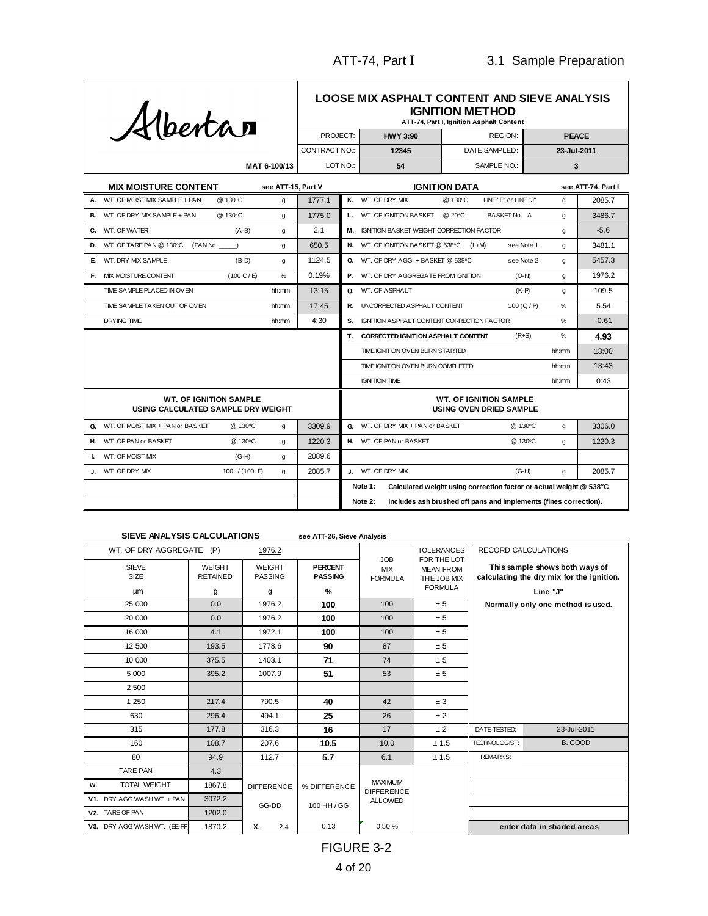

**MAT 6-100/13**

#### **ATT-74, Part I, Ignition Asphalt Content LOOSE MIX ASPHALT CONTENT AND SIEVE ANALYSIS IGNITION METHOD**

| PROJECT:        | <b>HWY 3:90</b> | REGION:       | <b>PEACE</b> |
|-----------------|-----------------|---------------|--------------|
| CONTRACT NO.: I | 12345           | DATE SAMPLED: | 23-Jul-2011  |
| LOT NO.:        | 54              | SAMPLE NO.: I |              |

|                                                                     | <b>MIX MOISTURE CONTENT</b>                    | see ATT-15, Part V |        | <b>IGNITION DATA</b>                                                          |       | see ATT-74, Part I |
|---------------------------------------------------------------------|------------------------------------------------|--------------------|--------|-------------------------------------------------------------------------------|-------|--------------------|
| А.                                                                  | WT. OF MOIST MIX SAMPLE + PAN<br>@ 130°C       | g                  | 1777.1 | K. WT. OF DRY MIX<br>@ 130°C<br>LINE"E" or LINE"J"                            | q     | 2085.7             |
|                                                                     | B. WT. OF DRY MIX SAMPLE + PAN<br>@ 130°C      | g                  | 1775.0 | L. WT. OF IGNITION BASKET<br>@ 20°C<br>BASKET No. A                           | a     | 3486.7             |
|                                                                     | C. WT. OF WATER<br>$(A-B)$                     | g                  | 2.1    | M. IGNITION BASKET WEIGHT CORRECTION FACTOR                                   | g     | $-5.6$             |
| D.                                                                  | WT. OF TARE PAN @ 130°C<br>(PAN No.)           | g                  | 650.5  | N. WT. OF IGNITION BASKET @ 538°C<br>$(L+M)$<br>see Note 1                    | g     | 3481.1             |
| E                                                                   | WT. DRY MIX SAMPLE<br>$(B-D)$                  | g                  | 1124.5 | <b>O.</b> WT. OF DRY AGG. + BASKET @ 538°C<br>see Note 2                      | g     | 5457.3             |
| F.                                                                  | <b>MIX MOISTURE CONTENT</b><br>(100 C/E)       | $\%$               | 0.19%  | P. WT. OF DRY AGGREGATE FROM IGNITION<br>$(O-N)$                              | q     | 1976.2             |
|                                                                     | TIME SAMPLE PLACED IN OVEN                     | hh:mm              | 13:15  | Q. WT. OF ASPHALT<br>$(K-P)$                                                  | q     | 109.5              |
|                                                                     | TIME SAMPLE TAKEN OUT OF OVEN                  | hh:mm              | 17:45  | R. UNCORRECTED ASPHALT CONTENT<br>100 (Q/P)                                   | %     | 5.54               |
|                                                                     | <b>DRYING TIME</b>                             | hh:mm              | 4:30   | S.<br><b>IGNITION ASPHALT CONTENT CORRECTION FACTOR</b>                       | $\%$  | $-0.61$            |
|                                                                     |                                                |                    |        | T. CORRECTED IGNITION ASPHALT CONTENT<br>$(R+S)$                              | %     | 4.93               |
|                                                                     |                                                |                    |        | TIME IGNITION OVEN BURN STARTED                                               | hh:mm | 13:00              |
|                                                                     |                                                |                    |        | TIME IGNITION OVEN BURN COMPLETED                                             | hh:mm | 13:43              |
|                                                                     |                                                |                    |        | <b>IGNITION TIME</b>                                                          | hh:mm | 0:43               |
| <b>WT. OF IGNITION SAMPLE</b><br>USING CALCULATED SAMPLE DRY WEIGHT |                                                |                    |        | <b>WT. OF IGNITION SAMPLE</b><br><b>USING OVEN DRIED SAMPLE</b>               |       |                    |
|                                                                     | G. WT. OF MOIST MIX + PAN or BASKET<br>@ 130°C | q                  | 3309.9 | G. WT. OF DRY MIX + PAN or BASKET<br>@ 130°C                                  | q     | 3306.0             |
| н.                                                                  | WT. OF PAN or BASKET<br>@ 130°C                | q                  | 1220.3 | H. WT. OF PAN or BASKET<br>@ 130°C                                            | q     | 1220.3             |
| Ι.                                                                  | WT. OF MOIST MIX<br>$(G-H)$                    | g                  | 2089.6 |                                                                               |       |                    |
|                                                                     | WT. OF DRY MIX<br>100 I / (100+F)              | q                  | 2085.7 | J. WT. OF DRY MIX<br>$(G-H)$                                                  | g     | 2085.7             |
|                                                                     |                                                |                    |        | Note 1:<br>Calculated weight using correction factor or actual weight @ 538°C |       |                    |
|                                                                     |                                                |                    |        | Includes ash brushed off pans and implements (fines correction).<br>Note 2:   |       |                    |

#### **see ATT-26, Sieve Analysis SIEVE ANALYSIS CALCULATIONS**

| WT. OF DRY AGGREGATE              | (P)                                   | 1976.2                               |                                       |                                            | <b>TOLERANCES</b>                                                | <b>RECORD CALCULATIONS</b> |                                                                                         |
|-----------------------------------|---------------------------------------|--------------------------------------|---------------------------------------|--------------------------------------------|------------------------------------------------------------------|----------------------------|-----------------------------------------------------------------------------------------|
| <b>SIEVE</b><br>SIZE<br><b>um</b> | <b>WEIGHT</b><br><b>RETAINED</b><br>g | <b>WEIGHT</b><br><b>PASSING</b><br>g | <b>PERCENT</b><br><b>PASSING</b><br>% | <b>JOB</b><br><b>MIX</b><br><b>FORMULA</b> | FOR THE LOT<br><b>MEAN FROM</b><br>THE JOB MIX<br><b>FORMULA</b> |                            | This sample shows both ways of<br>calculating the dry mix for the ignition.<br>Line "J" |
| 25 000                            | 0.0                                   | 1976.2                               | 100                                   | 100                                        | ± 5                                                              |                            | Normally only one method is used.                                                       |
| 20 000                            | 0.0                                   | 1976.2                               | 100                                   | 100                                        | ± 5                                                              |                            |                                                                                         |
| 16 000                            | 4.1                                   | 1972.1                               | 100                                   | 100                                        | ± 5                                                              |                            |                                                                                         |
| 12 500                            | 193.5                                 | 1778.6                               | 90                                    | 87                                         | ± 5                                                              |                            |                                                                                         |
| 10 000                            | 375.5                                 | 1403.1                               | 71                                    | 74                                         | ± 5                                                              |                            |                                                                                         |
| 5 0 0 0                           | 395.2                                 | 1007.9                               | 51                                    | 53                                         | ± 5                                                              |                            |                                                                                         |
| 2 500                             |                                       |                                      |                                       |                                            |                                                                  |                            |                                                                                         |
| 1 2 5 0                           | 217.4                                 | 790.5                                | 40                                    | 42                                         | ± 3                                                              |                            |                                                                                         |
| 630                               | 296.4                                 | 494.1                                | 25                                    | 26                                         | ±2                                                               |                            |                                                                                         |
| 315                               | 177.8                                 | 316.3                                | 16                                    | 17                                         | ±2                                                               | DATE TESTED:               | 23-Jul-2011                                                                             |
| 160                               | 108.7                                 | 207.6                                | 10.5                                  | 10.0                                       | ± 1.5                                                            | TECHNOLOGIST:              | B. GOOD                                                                                 |
| 80                                | 94.9                                  | 112.7                                | 5.7                                   | 6.1                                        | ± 1.5                                                            | <b>REMARKS:</b>            |                                                                                         |
| <b>TARE PAN</b>                   | 4.3                                   |                                      |                                       |                                            |                                                                  |                            |                                                                                         |
| <b>TOTAL WEIGHT</b><br>W.         | 1867.8                                | <b>DIFFERENCE</b>                    | % DIFFERENCE                          | <b>MAXIMUM</b><br><b>DIFFERENCE</b>        |                                                                  |                            |                                                                                         |
| DRY AGG WASH WT. + PAN<br>V1.     | 3072.2                                | GG-DD                                | 100 HH / GG                           | <b>ALLOWED</b>                             |                                                                  |                            |                                                                                         |
| V2. TARE OF PAN                   | 1202.0                                |                                      |                                       |                                            |                                                                  |                            |                                                                                         |
| V3. DRY AGG WASH WT. (EE-FF       | 1870.2                                | х.<br>2.4                            | 0.13                                  | 0.50%                                      |                                                                  |                            | enter data in shaded areas                                                              |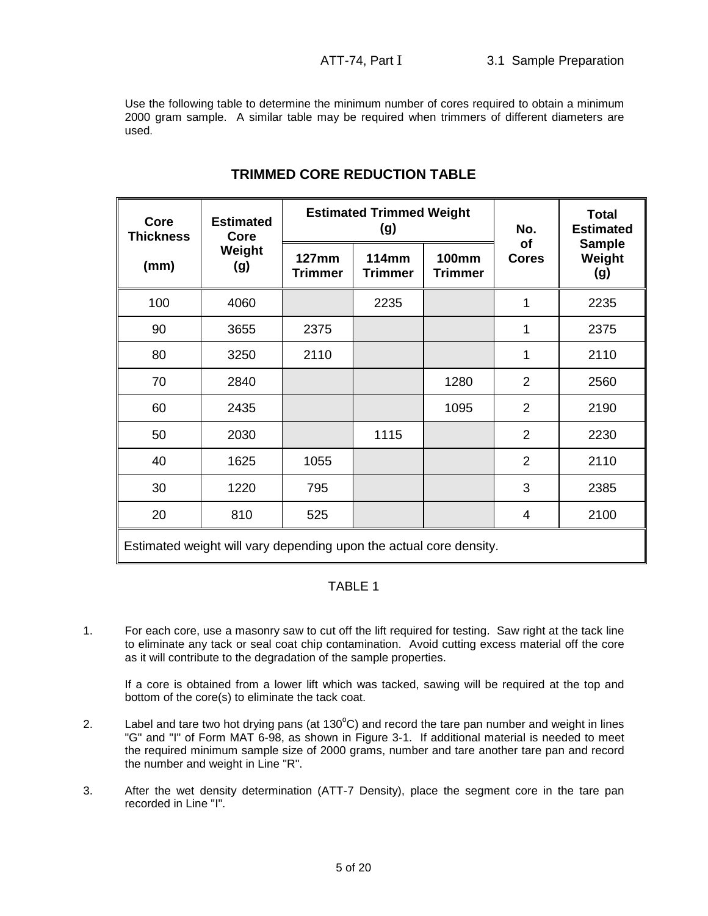Use the following table to determine the minimum number of cores required to obtain a minimum 2000 gram sample. A similar table may be required when trimmers of different diameters are used.

| <b>Core</b><br><b>Thickness</b>                                    | <b>Estimated</b><br>Core |                                | <b>Estimated Trimmed Weight</b><br>(g) | No.<br>of                      | <b>Total</b><br><b>Estimated</b> |                                |  |  |
|--------------------------------------------------------------------|--------------------------|--------------------------------|----------------------------------------|--------------------------------|----------------------------------|--------------------------------|--|--|
| (mm)                                                               | Weight<br>(g)            | <b>127mm</b><br><b>Trimmer</b> | <b>114mm</b><br><b>Trimmer</b>         | <b>100mm</b><br><b>Trimmer</b> | <b>Cores</b>                     | <b>Sample</b><br>Weight<br>(g) |  |  |
| 100                                                                | 4060                     |                                | 2235                                   |                                | 1                                | 2235                           |  |  |
| 90                                                                 | 3655                     | 2375                           |                                        |                                | 1                                | 2375                           |  |  |
| 80                                                                 | 3250                     | 2110                           |                                        |                                | 1                                | 2110                           |  |  |
| 70                                                                 | 2840                     |                                |                                        | 1280                           | $\overline{2}$                   | 2560                           |  |  |
| 60                                                                 | 2435                     |                                |                                        | 1095                           | $\overline{2}$                   | 2190                           |  |  |
| 50                                                                 | 2030                     |                                | 1115                                   |                                | $\overline{2}$                   | 2230                           |  |  |
| 40                                                                 | 1625                     | 1055                           |                                        |                                | $\overline{2}$                   | 2110                           |  |  |
| 30                                                                 | 1220                     | 795                            |                                        |                                | 3                                | 2385                           |  |  |
| 20                                                                 | 810                      | 525                            |                                        |                                | 4                                | 2100                           |  |  |
| Estimated weight will vary depending upon the actual core density. |                          |                                |                                        |                                |                                  |                                |  |  |

# **TRIMMED CORE REDUCTION TABLE**

# TABLE 1

1. For each core, use a masonry saw to cut off the lift required for testing. Saw right at the tack line to eliminate any tack or seal coat chip contamination. Avoid cutting excess material off the core as it will contribute to the degradation of the sample properties.

If a core is obtained from a lower lift which was tacked, sawing will be required at the top and bottom of the core(s) to eliminate the tack coat.

- 2. Label and tare two hot drying pans (at 130 $^{\circ}$ C) and record the tare pan number and weight in lines "G" and "I" of Form MAT 6-98, as shown in Figure 3-1. If additional material is needed to meet the required minimum sample size of 2000 grams, number and tare another tare pan and record the number and weight in Line "R".
- 3. After the wet density determination (ATT-7 Density), place the segment core in the tare pan recorded in Line "I".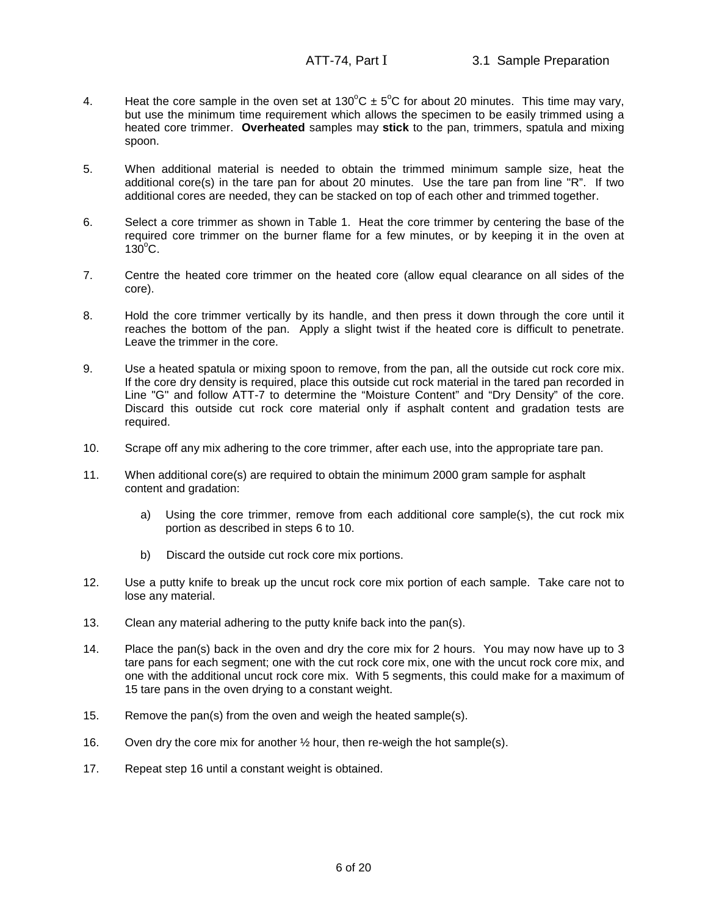- 4. Heat the core sample in the oven set at 130 $^{\circ}$ C  $\pm$  5 $^{\circ}$ C for about 20 minutes. This time may vary, but use the minimum time requirement which allows the specimen to be easily trimmed using a heated core trimmer. **Overheated** samples may **stick** to the pan, trimmers, spatula and mixing spoon.
- 5. When additional material is needed to obtain the trimmed minimum sample size, heat the additional core(s) in the tare pan for about 20 minutes. Use the tare pan from line "R". If two additional cores are needed, they can be stacked on top of each other and trimmed together.
- 6. Select a core trimmer as shown in Table 1. Heat the core trimmer by centering the base of the required core trimmer on the burner flame for a few minutes, or by keeping it in the oven at  $130^{\circ}$ C.
- 7. Centre the heated core trimmer on the heated core (allow equal clearance on all sides of the core).
- 8. Hold the core trimmer vertically by its handle, and then press it down through the core until it reaches the bottom of the pan. Apply a slight twist if the heated core is difficult to penetrate. Leave the trimmer in the core.
- 9. Use a heated spatula or mixing spoon to remove, from the pan, all the outside cut rock core mix. If the core dry density is required, place this outside cut rock material in the tared pan recorded in Line "G" and follow ATT-7 to determine the "Moisture Content" and "Dry Density" of the core. Discard this outside cut rock core material only if asphalt content and gradation tests are required.
- 10. Scrape off any mix adhering to the core trimmer, after each use, into the appropriate tare pan.
- 11. When additional core(s) are required to obtain the minimum 2000 gram sample for asphalt content and gradation:
	- a) Using the core trimmer, remove from each additional core sample(s), the cut rock mix portion as described in steps 6 to 10.
	- b) Discard the outside cut rock core mix portions.
- 12. Use a putty knife to break up the uncut rock core mix portion of each sample. Take care not to lose any material.
- 13. Clean any material adhering to the putty knife back into the pan(s).
- 14. Place the pan(s) back in the oven and dry the core mix for 2 hours. You may now have up to 3 tare pans for each segment; one with the cut rock core mix, one with the uncut rock core mix, and one with the additional uncut rock core mix. With 5 segments, this could make for a maximum of 15 tare pans in the oven drying to a constant weight.
- 15. Remove the pan(s) from the oven and weigh the heated sample(s).
- 16. Oven dry the core mix for another ½ hour, then re-weigh the hot sample(s).
- 17. Repeat step 16 until a constant weight is obtained.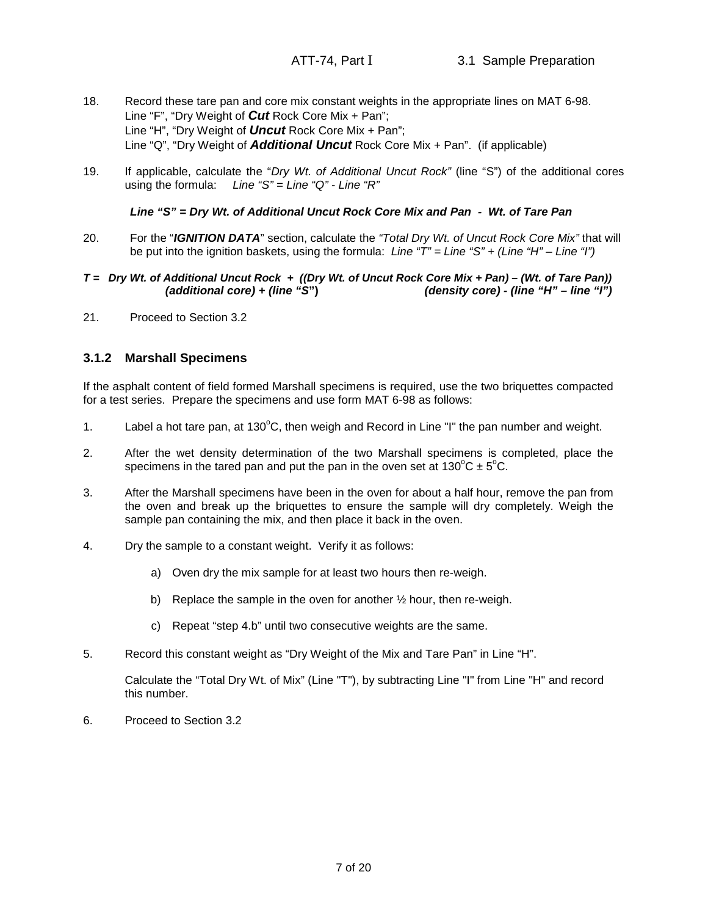- 18. Record these tare pan and core mix constant weights in the appropriate lines on MAT 6-98. Line "F", "Dry Weight of **Cut** Rock Core Mix + Pan"; Line "H", "Dry Weight of **Uncut** Rock Core Mix + Pan"; Line "Q", "Dry Weight of **Additional Uncut** Rock Core Mix + Pan". (if applicable)
- 19. If applicable, calculate the "Dry Wt. of Additional Uncut Rock" (line "S") of the additional cores using the formula: Line "S" = Line "Q" - Line "R"

**Line "S" = Dry Wt. of Additional Uncut Rock Core Mix and Pan - Wt. of Tare Pan**

- 20. For the "**IGNITION DATA**" section, calculate the "Total Dry Wt. of Uncut Rock Core Mix" that will be put into the ignition baskets, using the formula: Line " $T'' =$  Line " $S'' +$  (Line "H" – Line "I")
- **T = Dry Wt. of Additional Uncut Rock + ((Dry Wt. of Uncut Rock Core Mix + Pan) (Wt. of Tare Pan)) (additional core) + (line "S") (density core) - (line "H" – line "I")**
- 21. Proceed to Section 3.2

## **3.1.2 Marshall Specimens**

If the asphalt content of field formed Marshall specimens is required, use the two briquettes compacted for a test series. Prepare the specimens and use form MAT 6-98 as follows:

- 1. Label a hot tare pan, at  $130^{\circ}$ C, then weigh and Record in Line "I" the pan number and weight.
- 2. After the wet density determination of the two Marshall specimens is completed, place the specimens in the tared pan and put the pan in the oven set at  $130^{\circ}C \pm 5^{\circ}C$ .
- 3. After the Marshall specimens have been in the oven for about a half hour, remove the pan from the oven and break up the briquettes to ensure the sample will dry completely. Weigh the sample pan containing the mix, and then place it back in the oven.
- 4. Dry the sample to a constant weight. Verify it as follows:
	- a) Oven dry the mix sample for at least two hours then re-weigh.
	- b) Replace the sample in the oven for another ½ hour, then re-weigh.
	- c) Repeat "step 4.b" until two consecutive weights are the same.
- 5. Record this constant weight as "Dry Weight of the Mix and Tare Pan" in Line "H".

Calculate the "Total Dry Wt. of Mix" (Line "T"), by subtracting Line "I" from Line "H" and record this number.

6. Proceed to Section 3.2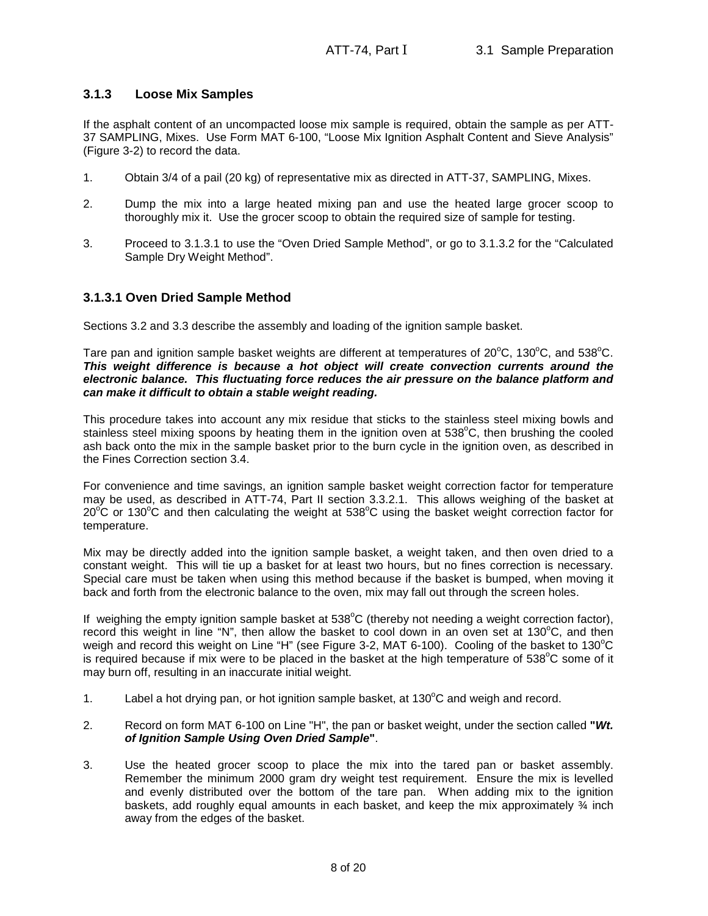# **3.1.3 Loose Mix Samples**

If the asphalt content of an uncompacted loose mix sample is required, obtain the sample as per ATT-37 SAMPLING, Mixes. Use Form MAT 6-100, "Loose Mix Ignition Asphalt Content and Sieve Analysis" (Figure 3-2) to record the data.

- 1. Obtain 3/4 of a pail (20 kg) of representative mix as directed in ATT-37, SAMPLING, Mixes.
- 2. Dump the mix into a large heated mixing pan and use the heated large grocer scoop to thoroughly mix it. Use the grocer scoop to obtain the required size of sample for testing.
- 3. Proceed to 3.1.3.1 to use the "Oven Dried Sample Method", or go to 3.1.3.2 for the "Calculated Sample Dry Weight Method".

## **3.1.3.1 Oven Dried Sample Method**

Sections 3.2 and 3.3 describe the assembly and loading of the ignition sample basket.

Tare pan and ignition sample basket weights are different at temperatures of  $20^{\circ}$ C, 130 $^{\circ}$ C, and 538 $^{\circ}$ C. **This weight difference is because a hot object will create convection currents around the electronic balance. This fluctuating force reduces the air pressure on the balance platform and can make it difficult to obtain a stable weight reading.**

This procedure takes into account any mix residue that sticks to the stainless steel mixing bowls and stainless steel mixing spoons by heating them in the ignition oven at 538°C, then brushing the cooled ash back onto the mix in the sample basket prior to the burn cycle in the ignition oven, as described in the Fines Correction section 3.4.

For convenience and time savings, an ignition sample basket weight correction factor for temperature may be used, as described in ATT-74, Part II section 3.3.2.1. This allows weighing of the basket at  $20^{\circ}$ C or 130 $^{\circ}$ C and then calculating the weight at 538 $^{\circ}$ C using the basket weight correction factor for temperature.

Mix may be directly added into the ignition sample basket, a weight taken, and then oven dried to a constant weight. This will tie up a basket for at least two hours, but no fines correction is necessary. Special care must be taken when using this method because if the basket is bumped, when moving it back and forth from the electronic balance to the oven, mix may fall out through the screen holes.

If weighing the empty ignition sample basket at  $538^{\circ}$ C (thereby not needing a weight correction factor), record this weight in line "N", then allow the basket to cool down in an oven set at  $130^{\circ}$ C, and then weigh and record this weight on Line "H" (see Figure 3-2, MAT 6-100). Cooling of the basket to 130 $^{\circ}$ C is required because if mix were to be placed in the basket at the high temperature of  $538^{\circ}$ C some of it may burn off, resulting in an inaccurate initial weight.

- 1. Label a hot drying pan, or hot ignition sample basket, at  $130^{\circ}$ C and weigh and record.
- 2. Record on form MAT 6-100 on Line "H", the pan or basket weight, under the section called **"Wt. of Ignition Sample Using Oven Dried Sample"**.
- 3. Use the heated grocer scoop to place the mix into the tared pan or basket assembly. Remember the minimum 2000 gram dry weight test requirement. Ensure the mix is levelled and evenly distributed over the bottom of the tare pan. When adding mix to the ignition baskets, add roughly equal amounts in each basket, and keep the mix approximately  $\frac{3}{4}$  inch away from the edges of the basket.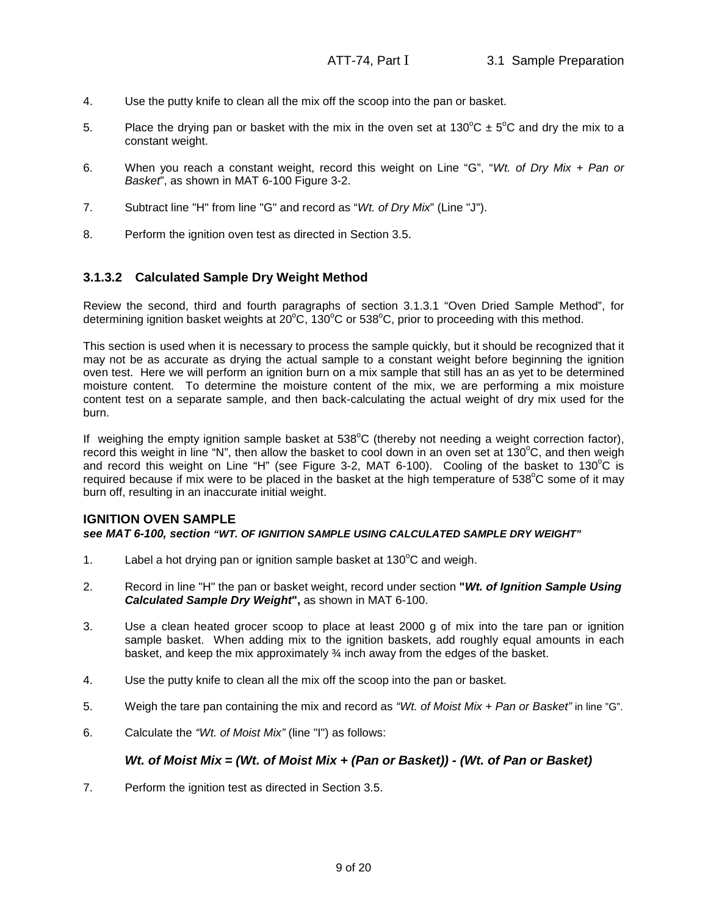- 4. Use the putty knife to clean all the mix off the scoop into the pan or basket.
- 5. Place the drying pan or basket with the mix in the oven set at 130 $^{\circ}$ C  $\pm$  5 $^{\circ}$ C and dry the mix to a constant weight.
- 6. When you reach a constant weight, record this weight on Line "G", "Wt. of Dry Mix + Pan or Basket", as shown in MAT 6-100 Figure 3-2.
- 7. Subtract line "H" from line "G" and record as "Wt. of Dry Mix" (Line "J").
- 8. Perform the ignition oven test as directed in Section 3.5.

# **3.1.3.2 Calculated Sample Dry Weight Method**

Review the second, third and fourth paragraphs of section 3.1.3.1 "Oven Dried Sample Method", for determining ignition basket weights at  $20^{\circ}$ C, 130 $^{\circ}$ C or 538 $^{\circ}$ C, prior to proceeding with this method.

This section is used when it is necessary to process the sample quickly, but it should be recognized that it may not be as accurate as drying the actual sample to a constant weight before beginning the ignition oven test. Here we will perform an ignition burn on a mix sample that still has an as yet to be determined moisture content. To determine the moisture content of the mix, we are performing a mix moisture content test on a separate sample, and then back-calculating the actual weight of dry mix used for the burn.

If weighing the empty ignition sample basket at  $538^{\circ}$ C (thereby not needing a weight correction factor), record this weight in line "N", then allow the basket to cool down in an oven set at 130°C, and then weigh and record this weight on Line "H" (see Figure 3-2, MAT 6-100). Cooling of the basket to  $130^{\circ}$ C is required because if mix were to be placed in the basket at the high temperature of 538<sup>°</sup>C some of it may burn off, resulting in an inaccurate initial weight.

## **IGNITION OVEN SAMPLE**

#### **see MAT 6-100, section "WT. OF IGNITION SAMPLE USING CALCULATED SAMPLE DRY WEIGHT"**

- 1. Label a hot drying pan or ignition sample basket at  $130^{\circ}$ C and weigh.
- 2. Record in line "H" the pan or basket weight, record under section **"Wt. of Ignition Sample Using Calculated Sample Dry Weight",** as shown in MAT 6-100.
- 3. Use a clean heated grocer scoop to place at least 2000 g of mix into the tare pan or ignition sample basket. When adding mix to the ignition baskets, add roughly equal amounts in each basket, and keep the mix approximately ¾ inch away from the edges of the basket.
- 4. Use the putty knife to clean all the mix off the scoop into the pan or basket.
- 5. Weigh the tare pan containing the mix and record as "Wt. of Moist Mix + Pan or Basket" in line "G".
- 6. Calculate the "Wt. of Moist Mix" (line "I") as follows:

## **Wt. of Moist Mix = (Wt. of Moist Mix + (Pan or Basket)) - (Wt. of Pan or Basket)**

7. Perform the ignition test as directed in Section 3.5.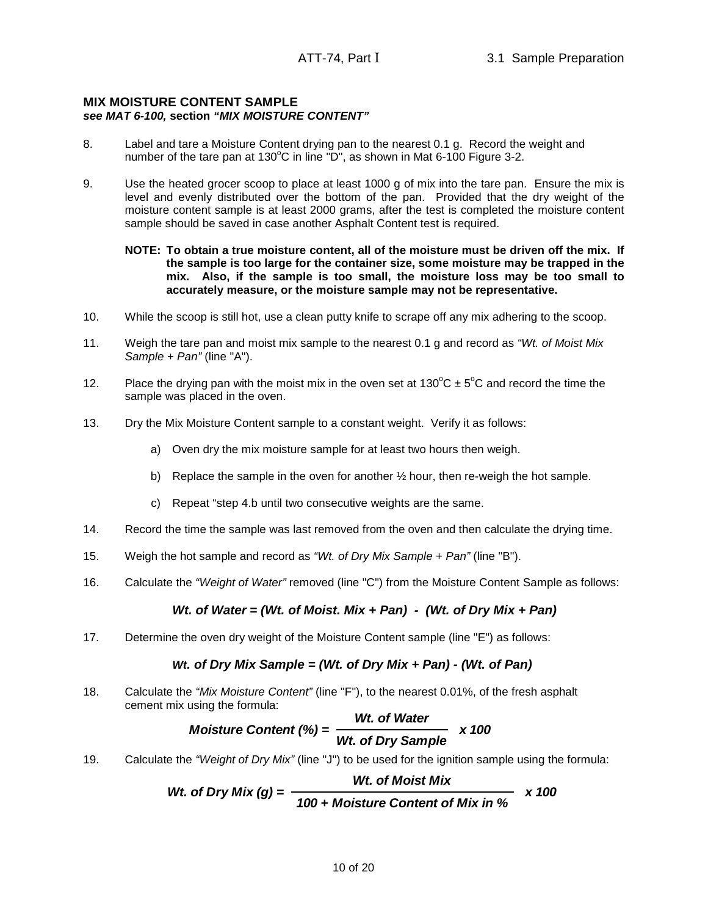#### **MIX MOISTURE CONTENT SAMPLE see MAT 6-100, section "MIX MOISTURE CONTENT"**

- 8. Label and tare a Moisture Content drying pan to the nearest 0.1 g. Record the weight and number of the tare pan at 130 $^{\circ}$ C in line "D", as shown in Mat 6-100 Figure 3-2.
- 9. Use the heated grocer scoop to place at least 1000 g of mix into the tare pan. Ensure the mix is level and evenly distributed over the bottom of the pan. Provided that the dry weight of the moisture content sample is at least 2000 grams, after the test is completed the moisture content sample should be saved in case another Asphalt Content test is required.

#### **NOTE: To obtain a true moisture content, all of the moisture must be driven off the mix. If the sample is too large for the container size, some moisture may be trapped in the mix. Also, if the sample is too small, the moisture loss may be too small to accurately measure, or the moisture sample may not be representative.**

- 10. While the scoop is still hot, use a clean putty knife to scrape off any mix adhering to the scoop.
- 11. Weigh the tare pan and moist mix sample to the nearest 0.1 g and record as "Wt. of Moist Mix Sample + Pan" (line "A").
- 12. Place the drying pan with the moist mix in the oven set at  $130^{\circ}$ C  $\pm$  5°C and record the time the sample was placed in the oven.
- 13. Dry the Mix Moisture Content sample to a constant weight. Verify it as follows:
	- a) Oven dry the mix moisture sample for at least two hours then weigh.
	- b) Replace the sample in the oven for another  $\frac{1}{2}$  hour, then re-weigh the hot sample.
	- c) Repeat "step 4.b until two consecutive weights are the same.
- 14. Record the time the sample was last removed from the oven and then calculate the drying time.
- 15. Weigh the hot sample and record as "Wt. of Dry Mix Sample + Pan" (line "B").
- 16. Calculate the "Weight of Water" removed (line "C") from the Moisture Content Sample as follows:

# **Wt. of Water = (Wt. of Moist. Mix + Pan) - (Wt. of Dry Mix + Pan)**

17. Determine the oven dry weight of the Moisture Content sample (line "E") as follows:

## **Wt. of Dry Mix Sample = (Wt. of Dry Mix + Pan) - (Wt. of Pan)**

18. Calculate the "Mix Moisture Content" (line "F"), to the nearest 0.01%, of the fresh asphalt cement mix using the formula:

Moisture Content (%) = 
$$
\frac{Wt. \text{ of Water}}{Wt. \text{ of Dry Sample}} \times 100
$$

19. Calculate the "Weight of Dry Mix" (line "J") to be used for the ignition sample using the formula:

*Wt.* of Dry Mix (g) = 
$$
\frac{Wt. \text{ of Moist Mix}}{100 + Moisture Content of Mix in %} \times 100
$$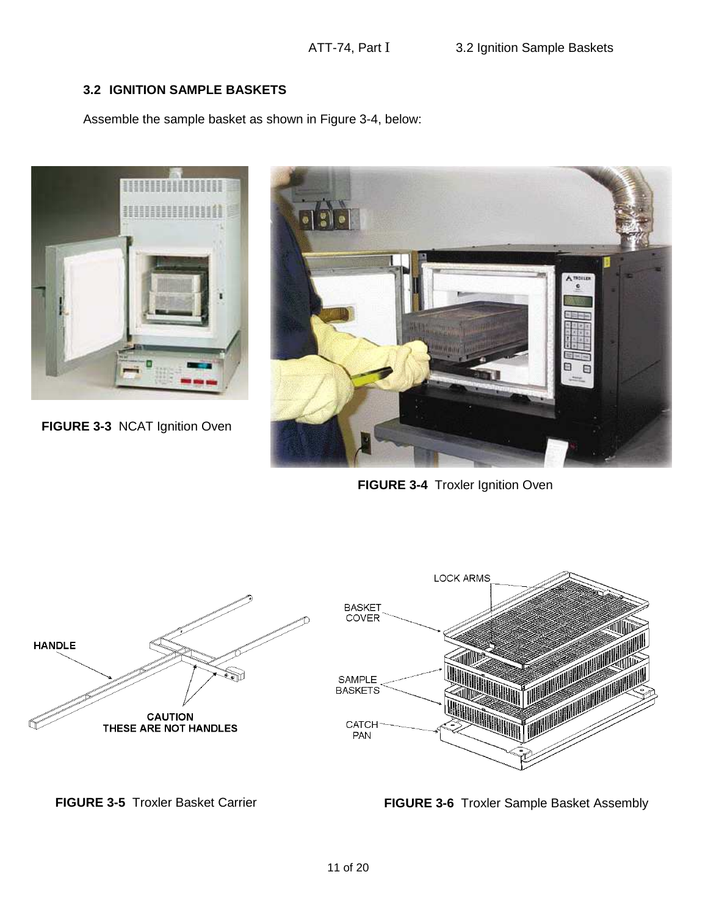# **3.2 IGNITION SAMPLE BASKETS**

Assemble the sample basket as shown in Figure 3-4, below:



**FIGURE 3-3** NCAT Ignition Oven



**FIGURE 3-4 Troxler Ignition Oven** 



**FIGURE 3-5** Troxler Basket Carrier **FIGURE 3-6** Troxler Sample Basket Assembly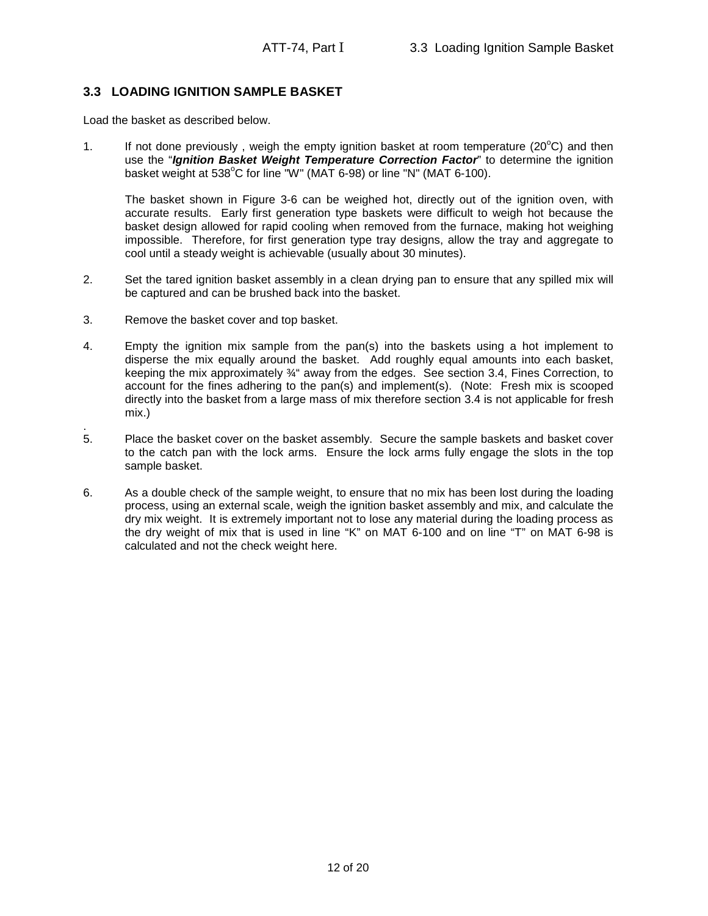# **3.3 LOADING IGNITION SAMPLE BASKET**

Load the basket as described below.

1. If not done previously, weigh the empty ignition basket at room temperature ( $20^{\circ}$ C) and then use the "**Ignition Basket Weight Temperature Correction Factor**" to determine the ignition basket weight at  $538^{\circ}$ C for line "W" (MAT 6-98) or line "N" (MAT 6-100).

The basket shown in Figure 3-6 can be weighed hot, directly out of the ignition oven, with accurate results. Early first generation type baskets were difficult to weigh hot because the basket design allowed for rapid cooling when removed from the furnace, making hot weighing impossible. Therefore, for first generation type tray designs, allow the tray and aggregate to cool until a steady weight is achievable (usually about 30 minutes).

- 2. Set the tared ignition basket assembly in a clean drying pan to ensure that any spilled mix will be captured and can be brushed back into the basket.
- 3. Remove the basket cover and top basket.
- 4. Empty the ignition mix sample from the pan(s) into the baskets using a hot implement to disperse the mix equally around the basket. Add roughly equal amounts into each basket, keeping the mix approximately  $\frac{3}{4}$  away from the edges. See section 3.4, Fines Correction, to account for the fines adhering to the pan(s) and implement(s). (Note: Fresh mix is scooped directly into the basket from a large mass of mix therefore section 3.4 is not applicable for fresh mix.)
- . 5. Place the basket cover on the basket assembly. Secure the sample baskets and basket cover to the catch pan with the lock arms. Ensure the lock arms fully engage the slots in the top sample basket.
- 6. As a double check of the sample weight, to ensure that no mix has been lost during the loading process, using an external scale, weigh the ignition basket assembly and mix, and calculate the dry mix weight. It is extremely important not to lose any material during the loading process as the dry weight of mix that is used in line "K" on MAT 6-100 and on line "T" on MAT 6-98 is calculated and not the check weight here.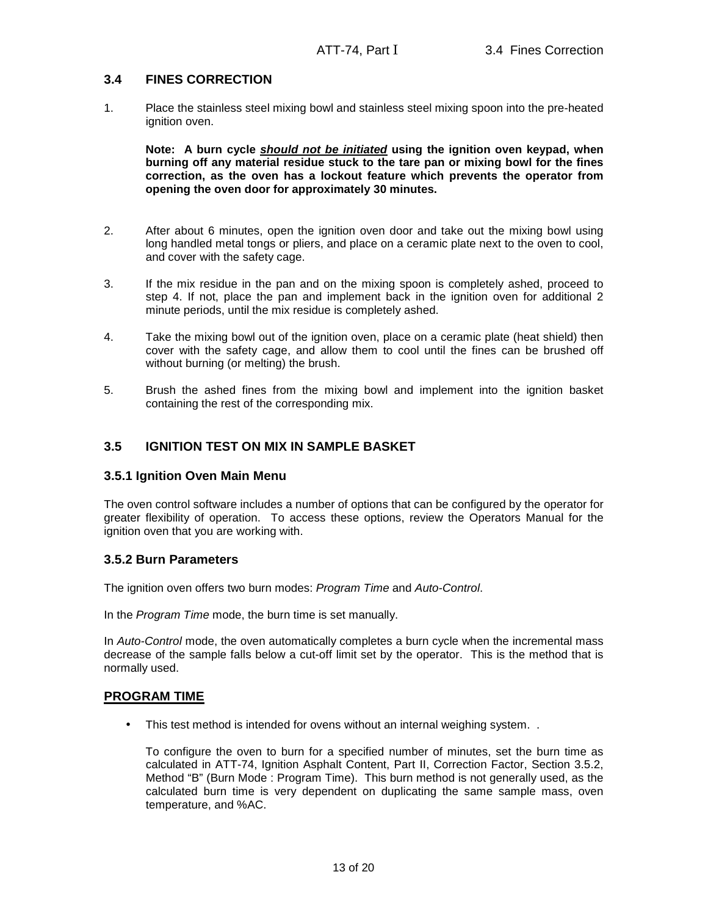# **3.4 FINES CORRECTION**

1. Place the stainless steel mixing bowl and stainless steel mixing spoon into the pre-heated ignition oven.

**Note: A burn cycle should not be initiated using the ignition oven keypad, when burning off any material residue stuck to the tare pan or mixing bowl for the fines correction, as the oven has a lockout feature which prevents the operator from opening the oven door for approximately 30 minutes.**

- 2. After about 6 minutes, open the ignition oven door and take out the mixing bowl using long handled metal tongs or pliers, and place on a ceramic plate next to the oven to cool, and cover with the safety cage.
- 3. If the mix residue in the pan and on the mixing spoon is completely ashed, proceed to step 4. If not, place the pan and implement back in the ignition oven for additional 2 minute periods, until the mix residue is completely ashed.
- 4. Take the mixing bowl out of the ignition oven, place on a ceramic plate (heat shield) then cover with the safety cage, and allow them to cool until the fines can be brushed off without burning (or melting) the brush.
- 5. Brush the ashed fines from the mixing bowl and implement into the ignition basket containing the rest of the corresponding mix.

# **3.5 IGNITION TEST ON MIX IN SAMPLE BASKET**

## **3.5.1 Ignition Oven Main Menu**

The oven control software includes a number of options that can be configured by the operator for greater flexibility of operation. To access these options, review the Operators Manual for the ignition oven that you are working with.

## **3.5.2 Burn Parameters**

The ignition oven offers two burn modes: Program Time and Auto-Control.

In the Program Time mode, the burn time is set manually.

In Auto-Control mode, the oven automatically completes a burn cycle when the incremental mass decrease of the sample falls below a cut-off limit set by the operator. This is the method that is normally used.

## **PROGRAM TIME**

• This test method is intended for ovens without an internal weighing system. .

To configure the oven to burn for a specified number of minutes, set the burn time as calculated in ATT-74, Ignition Asphalt Content, Part II, Correction Factor, Section 3.5.2, Method "B" (Burn Mode : Program Time). This burn method is not generally used, as the calculated burn time is very dependent on duplicating the same sample mass, oven temperature, and %AC.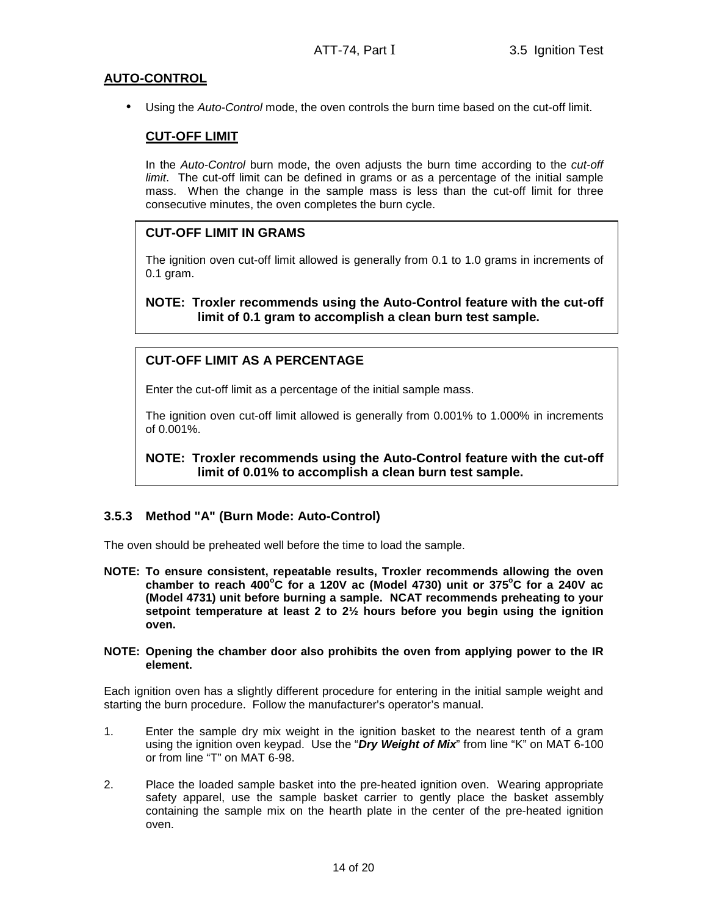# **AUTO-CONTROL**

Using the Auto-Control mode, the oven controls the burn time based on the cut-off limit.

# **CUT-OFF LIMIT**

In the Auto-Control burn mode, the oven adjusts the burn time according to the cut-off limit. The cut-off limit can be defined in grams or as a percentage of the initial sample mass. When the change in the sample mass is less than the cut-off limit for three consecutive minutes, the oven completes the burn cycle.

# **CUT-OFF LIMIT IN GRAMS**

The ignition oven cut-off limit allowed is generally from 0.1 to 1.0 grams in increments of 0.1 gram.

**NOTE: Troxler recommends using the Auto-Control feature with the cut-off limit of 0.1 gram to accomplish a clean burn test sample.** 

# **CUT-OFF LIMIT AS A PERCENTAGE**

Enter the cut-off limit as a percentage of the initial sample mass.

The ignition oven cut-off limit allowed is generally from 0.001% to 1.000% in increments of 0.001%.

**NOTE: Troxler recommends using the Auto-Control feature with the cut-off limit of 0.01% to accomplish a clean burn test sample.** 

## **3.5.3 Method "A" (Burn Mode: Auto-Control)**

The oven should be preheated well before the time to load the sample.

**NOTE: To ensure consistent, repeatable results, Troxler recommends allowing the oven chamber to reach 400<sup>o</sup>C for a 120V ac (Model 4730) unit or 375<sup>o</sup>C for a 240V ac (Model 4731) unit before burning a sample. NCAT recommends preheating to your setpoint temperature at least 2 to 2½ hours before you begin using the ignition oven.** 

#### **NOTE: Opening the chamber door also prohibits the oven from applying power to the IR element.**

Each ignition oven has a slightly different procedure for entering in the initial sample weight and starting the burn procedure. Follow the manufacturer's operator's manual.

- 1. Enter the sample dry mix weight in the ignition basket to the nearest tenth of a gram using the ignition oven keypad. Use the "**Dry Weight of Mix**" from line "K" on MAT 6-100 or from line "T" on MAT 6-98.
- 2. Place the loaded sample basket into the pre-heated ignition oven. Wearing appropriate safety apparel, use the sample basket carrier to gently place the basket assembly containing the sample mix on the hearth plate in the center of the pre-heated ignition oven.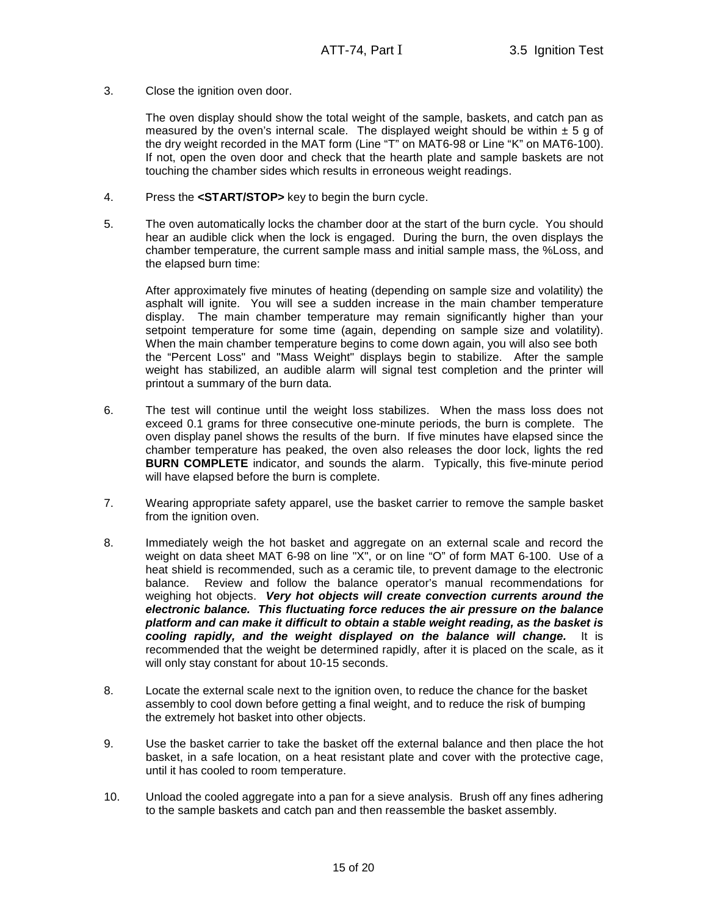3. Close the ignition oven door.

The oven display should show the total weight of the sample, baskets, and catch pan as measured by the oven's internal scale. The displayed weight should be within  $\pm 5$  g of the dry weight recorded in the MAT form (Line "T" on MAT6-98 or Line "K" on MAT6-100). If not, open the oven door and check that the hearth plate and sample baskets are not touching the chamber sides which results in erroneous weight readings.

- 4. Press the **<START/STOP>** key to begin the burn cycle.
- 5. The oven automatically locks the chamber door at the start of the burn cycle. You should hear an audible click when the lock is engaged. During the burn, the oven displays the chamber temperature, the current sample mass and initial sample mass, the %Loss, and the elapsed burn time:

After approximately five minutes of heating (depending on sample size and volatility) the asphalt will ignite. You will see a sudden increase in the main chamber temperature display. The main chamber temperature may remain significantly higher than your setpoint temperature for some time (again, depending on sample size and volatility). When the main chamber temperature begins to come down again, you will also see both the "Percent Loss" and "Mass Weight" displays begin to stabilize. After the sample weight has stabilized, an audible alarm will signal test completion and the printer will printout a summary of the burn data.

- 6. The test will continue until the weight loss stabilizes. When the mass loss does not exceed 0.1 grams for three consecutive one-minute periods, the burn is complete. The oven display panel shows the results of the burn. If five minutes have elapsed since the chamber temperature has peaked, the oven also releases the door lock, lights the red **BURN COMPLETE** indicator, and sounds the alarm. Typically, this five-minute period will have elapsed before the burn is complete.
- 7. Wearing appropriate safety apparel, use the basket carrier to remove the sample basket from the ignition oven.
- 8. Immediately weigh the hot basket and aggregate on an external scale and record the weight on data sheet MAT 6-98 on line "X", or on line "O" of form MAT 6-100. Use of a heat shield is recommended, such as a ceramic tile, to prevent damage to the electronic balance. Review and follow the balance operator's manual recommendations for weighing hot objects. **Very hot objects will create convection currents around the electronic balance. This fluctuating force reduces the air pressure on the balance platform and can make it difficult to obtain a stable weight reading, as the basket is cooling rapidly, and the weight displayed on the balance will change.** It is recommended that the weight be determined rapidly, after it is placed on the scale, as it will only stay constant for about 10-15 seconds.
- 8. Locate the external scale next to the ignition oven, to reduce the chance for the basket assembly to cool down before getting a final weight, and to reduce the risk of bumping the extremely hot basket into other objects.
- 9. Use the basket carrier to take the basket off the external balance and then place the hot basket, in a safe location, on a heat resistant plate and cover with the protective cage, until it has cooled to room temperature.
- 10. Unload the cooled aggregate into a pan for a sieve analysis. Brush off any fines adhering to the sample baskets and catch pan and then reassemble the basket assembly.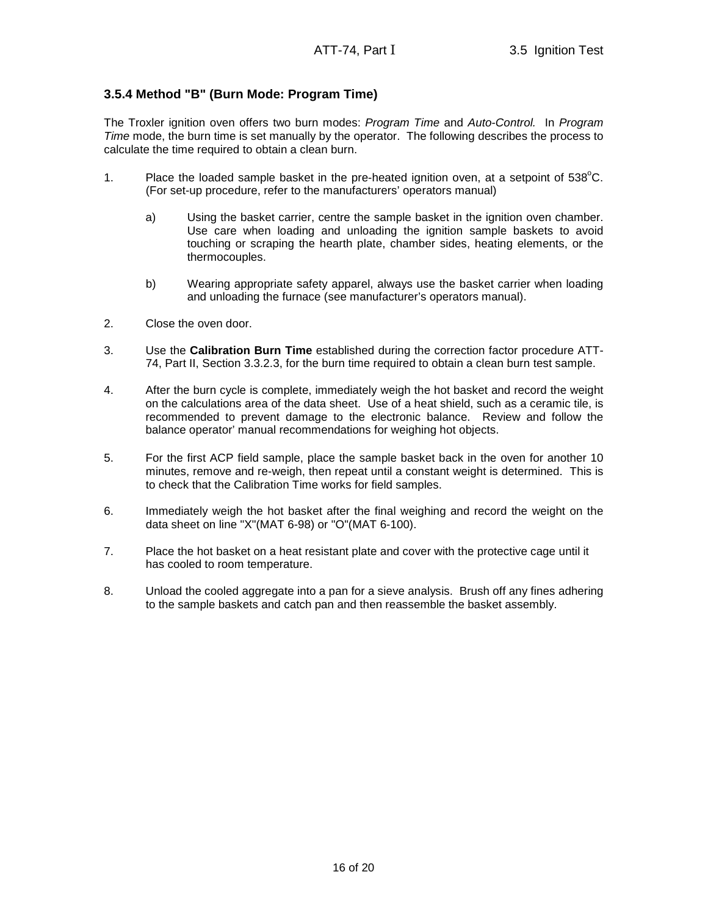# **3.5.4 Method "B" (Burn Mode: Program Time)**

The Troxler ignition oven offers two burn modes: Program Time and Auto-Control. In Program Time mode, the burn time is set manually by the operator. The following describes the process to calculate the time required to obtain a clean burn.

- 1. Place the loaded sample basket in the pre-heated ignition oven, at a setpoint of  $538^{\circ}$ C. (For set-up procedure, refer to the manufacturers' operators manual)
	- a) Using the basket carrier, centre the sample basket in the ignition oven chamber. Use care when loading and unloading the ignition sample baskets to avoid touching or scraping the hearth plate, chamber sides, heating elements, or the thermocouples.
	- b) Wearing appropriate safety apparel, always use the basket carrier when loading and unloading the furnace (see manufacturer's operators manual).
- 2. Close the oven door.
- 3. Use the **Calibration Burn Time** established during the correction factor procedure ATT-74, Part II, Section 3.3.2.3, for the burn time required to obtain a clean burn test sample.
- 4. After the burn cycle is complete, immediately weigh the hot basket and record the weight on the calculations area of the data sheet. Use of a heat shield, such as a ceramic tile, is recommended to prevent damage to the electronic balance. Review and follow the balance operator' manual recommendations for weighing hot objects.
- 5. For the first ACP field sample, place the sample basket back in the oven for another 10 minutes, remove and re-weigh, then repeat until a constant weight is determined. This is to check that the Calibration Time works for field samples.
- 6. Immediately weigh the hot basket after the final weighing and record the weight on the data sheet on line "X"(MAT 6-98) or "O"(MAT 6-100).
- 7. Place the hot basket on a heat resistant plate and cover with the protective cage until it has cooled to room temperature.
- 8. Unload the cooled aggregate into a pan for a sieve analysis. Brush off any fines adhering to the sample baskets and catch pan and then reassemble the basket assembly.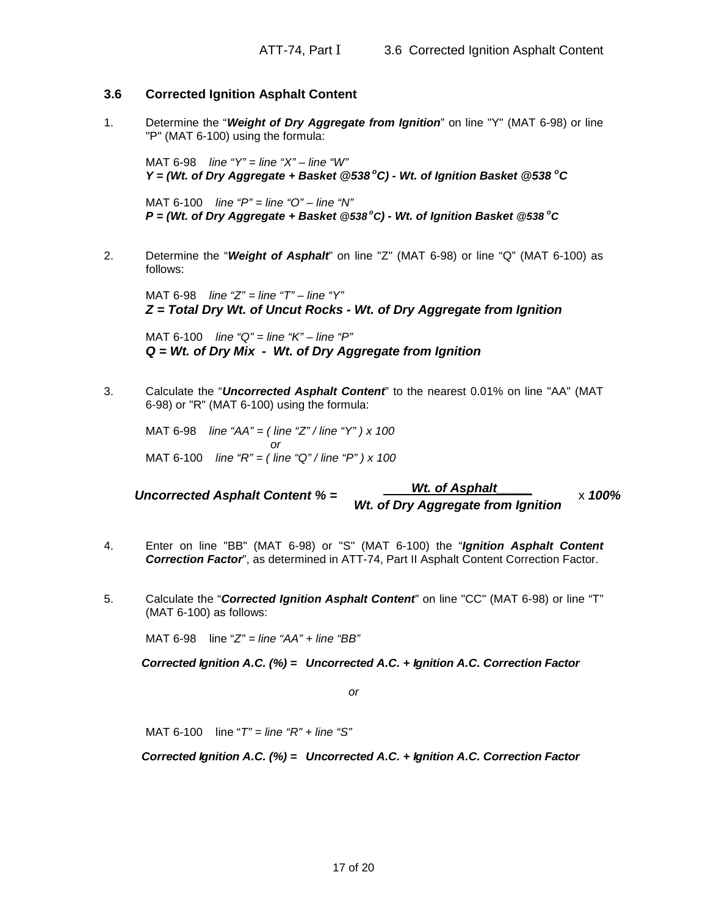# **3.6 Corrected Ignition Asphalt Content**

1. Determine the "**Weight of Dry Aggregate from Ignition**" on line "Y" (MAT 6-98) or line "P" (MAT 6-100) using the formula:

MAT 6-98 line " $Y$ " = line " $X$ " – line "W" **Y = (Wt. of Dry Aggregate + Basket @538<sup>o</sup>C) - Wt. of Ignition Basket @538 <sup>o</sup>C**

MAT 6-100 line " $P$ " = line "O" – line "N" **P = (Wt. of Dry Aggregate + Basket @538<sup>o</sup>C) - Wt. of Ignition Basket @538 <sup>o</sup>C**

2. Determine the "**Weight of Asphalt**" on line "Z" (MAT 6-98) or line "Q" (MAT 6-100) as follows:

MAT 6-98 line " $Z$ " = line " $T$ " – line " $Y$ " **Z = Total Dry Wt. of Uncut Rocks - Wt. of Dry Aggregate from Ignition**

MAT 6-100 line "Q" = line "K" – line "P" **Q = Wt. of Dry Mix - Wt. of Dry Aggregate from Ignition**

3. Calculate the "**Uncorrected Asphalt Content**" to the nearest 0.01% on line "AA" (MAT 6-98) or "R" (MAT 6-100) using the formula:

MAT 6-98 line "AA" = (line "Z" / line "Y" ) x 100 or MAT 6-100 line "R" = (line "Q" / line "P" ) x 100

Uncorrected Asphalt Content % = **Wt. of Asphalt** x **100% Wt. of Dry Aggregate from Ignition** 

- 4. Enter on line "BB" (MAT 6-98) or "S" (MAT 6-100) the "**Ignition Asphalt Content Correction Factor**", as determined in ATT-74, Part II Asphalt Content Correction Factor.
- 5. Calculate the "**Corrected Ignition Asphalt Content**" on line "CC" (MAT 6-98) or line "T" (MAT 6-100) as follows:

MAT 6-98 line " $Z'' =$  line " $AA'' +$  line " $BB''$ 

**Corrected Ignition A.C. (%) = Uncorrected A.C. + Ignition A.C. Correction Factor**

or

MAT 6-100 line " $T$ " = line " $R$ " + line " $S$ "

**Corrected Ignition A.C. (%) = Uncorrected A.C. + Ignition A.C. Correction Factor**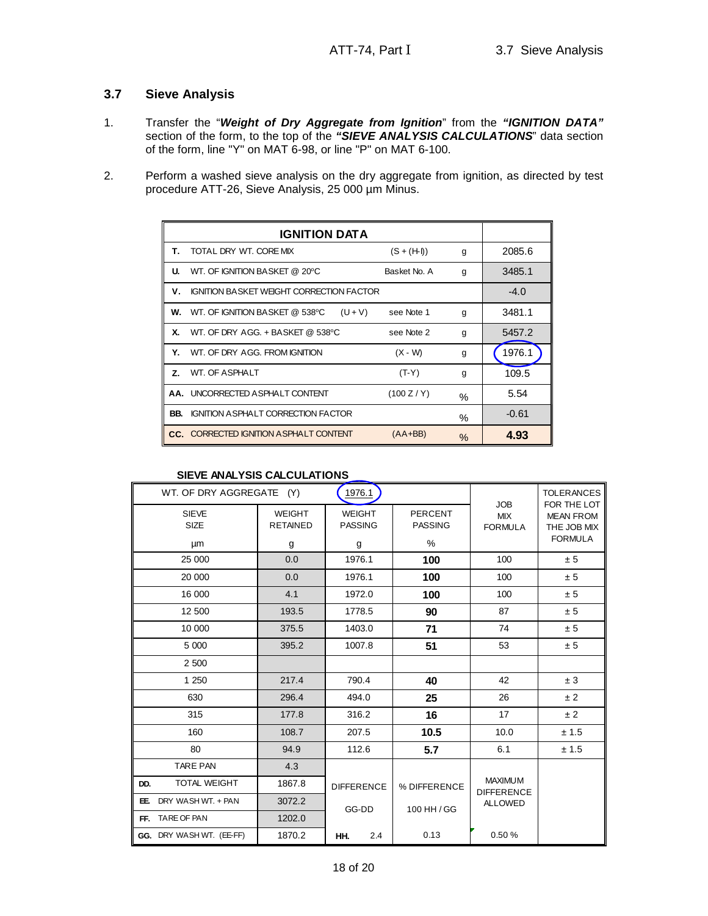# **3.7 Sieve Analysis**

- 1. Transfer the "**Weight of Dry Aggregate from Ignition**" from the **"IGNITION DATA"** section of the form, to the top of the **"SIEVE ANALYSIS CALCULATIONS**" data section of the form, line "Y" on MAT 6-98, or line "P" on MAT 6-100.
- 2. Perform a washed sieve analysis on the dry aggregate from ignition, as directed by test procedure ATT-26, Sieve Analysis, 25 000 µm Minus.

| Τ.             | TOTAL DRY WT. CORE MIX                             | $(S + (H I))$ | g    | 2085.6  |  |  |
|----------------|----------------------------------------------------|---------------|------|---------|--|--|
| u.             | WT. OF IGNITION BASKET @ 20°C                      | Basket No. A  | g    | 3485.1  |  |  |
| V.             | <b>IGNITION BASKET WEIGHT CORRECTION FACTOR</b>    |               |      |         |  |  |
|                | <b>W.</b> WT. OF IGNITION BASKET @ 538°C $(U + V)$ | see Note 1    | g    | 3481.1  |  |  |
| X.             | WT. OF DRY AGG. + BASKET @ 538°C                   | see Note 2    | g    | 5457.2  |  |  |
| Υ.             | WT. OF DRY AGG. FROM IGNITION                      | $(X - W)$     | g    | 1976.1  |  |  |
| $\overline{z}$ | WT. OF ASPHALT                                     | $(T-Y)$       | g    | 109.5   |  |  |
|                | AA. UNCORRECTED ASPHALT CONTENT                    | (100 Z/Y)     | %    | 5.54    |  |  |
| BB.            | <b>IGNITION A SPHALT CORRECTION FACTOR</b>         |               | ℅    | $-0.61$ |  |  |
|                | CC. CORRECTED IGNITION ASPHALT CONTENT             | $(AA+BB)$     | $\%$ | 4.93    |  |  |

#### **SIEVE ANALYSIS CALCULATIONS**

| WT. OF DRY AGGREGATE        | (Y)                              | 1976.1                          |                                  |                                            | <b>TOLERANCES</b>                                                |
|-----------------------------|----------------------------------|---------------------------------|----------------------------------|--------------------------------------------|------------------------------------------------------------------|
| <b>SIEVE</b><br><b>SIZE</b> | <b>WEIGHT</b><br><b>RETAINED</b> | <b>WEIGHT</b><br><b>PASSING</b> | <b>PERCENT</b><br><b>PASSING</b> | <b>JOB</b><br><b>MIX</b><br><b>FORMULA</b> | FOR THE LOT<br><b>MEAN FROM</b><br>THE JOB MIX<br><b>FORMULA</b> |
| μm                          | g                                | g                               | %                                |                                            |                                                                  |
| 25 000                      | 0.0                              | 1976.1                          | 100                              | 100                                        | ± 5                                                              |
| 20 000                      | 0.0                              | 1976.1                          | 100                              | 100                                        | ± 5                                                              |
| 16 000                      | 4.1                              | 1972.0                          | 100                              | 100                                        | ± 5                                                              |
| 12 500                      | 193.5                            | 1778.5                          | 90                               | 87                                         | ± 5                                                              |
| 10 000                      | 375.5                            | 1403.0                          | 71                               | 74                                         | ± 5                                                              |
| 5 000                       | 395.2                            | 1007.8                          | 51                               | 53                                         | ± 5                                                              |
| 2 500                       |                                  |                                 |                                  |                                            |                                                                  |
| 1 250                       | 217.4                            | 790.4                           | 40                               | 42                                         | ± 3                                                              |
| 630                         | 296.4                            | 494.0                           | 25                               | 26                                         | ± 2                                                              |
| 315                         | 177.8                            | 316.2                           | 16                               | 17                                         | ±2                                                               |
| 160                         | 108.7                            | 207.5                           | 10.5                             | 10.0                                       | ± 1.5                                                            |
| 80                          | 94.9                             | 112.6                           | 5.7                              | 6.1                                        | ± 1.5                                                            |
| <b>TARE PAN</b>             | 4.3                              |                                 |                                  |                                            |                                                                  |
| <b>TOTAL WEIGHT</b><br>DD.  | 1867.8                           | <b>DIFFERENCE</b>               | % DIFFERENCE                     | <b>MAXIMUM</b><br><b>DIFFERENCE</b>        |                                                                  |
| DRY WASHWT. + PAN<br>EE.    | 3072.2                           | GG-DD                           | 100 HH / GG                      | <b>ALLOWED</b>                             |                                                                  |
| FF. TARE OF PAN             | 1202.0                           |                                 |                                  |                                            |                                                                  |
| GG. DRY WASHWT. (EE-FF)     | 1870.2                           | 2.4<br>HH.                      | 0.13                             | 0.50%                                      |                                                                  |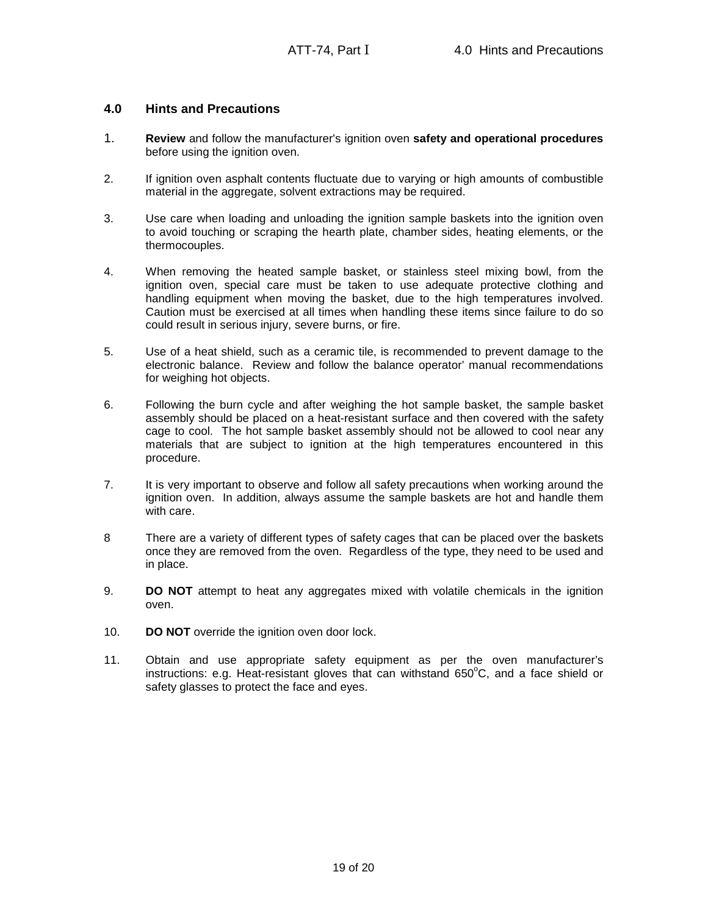# **4.0 Hints and Precautions**

- 1. **Review** and follow the manufacturer's ignition oven **safety and operational procedures** before using the ignition oven.
- 2. If ignition oven asphalt contents fluctuate due to varying or high amounts of combustible material in the aggregate, solvent extractions may be required.
- 3. Use care when loading and unloading the ignition sample baskets into the ignition oven to avoid touching or scraping the hearth plate, chamber sides, heating elements, or the thermocouples.
- 4. When removing the heated sample basket, or stainless steel mixing bowl, from the ignition oven, special care must be taken to use adequate protective clothing and handling equipment when moving the basket, due to the high temperatures involved. Caution must be exercised at all times when handling these items since failure to do so could result in serious injury, severe burns, or fire.
- 5. Use of a heat shield, such as a ceramic tile, is recommended to prevent damage to the electronic balance. Review and follow the balance operator' manual recommendations for weighing hot objects.
- 6. Following the burn cycle and after weighing the hot sample basket, the sample basket assembly should be placed on a heat-resistant surface and then covered with the safety cage to cool. The hot sample basket assembly should not be allowed to cool near any materials that are subject to ignition at the high temperatures encountered in this procedure.
- 7. It is very important to observe and follow all safety precautions when working around the ignition oven. In addition, always assume the sample baskets are hot and handle them with care.
- 8 There are a variety of different types of safety cages that can be placed over the baskets once they are removed from the oven. Regardless of the type, they need to be used and in place.
- 9. **DO NOT** attempt to heat any aggregates mixed with volatile chemicals in the ignition oven.
- 10. **DO NOT** override the ignition oven door lock.
- 11. Obtain and use appropriate safety equipment as per the oven manufacturer's instructions: e.g. Heat-resistant gloves that can withstand  $650^{\circ}$ C, and a face shield or safety glasses to protect the face and eyes.